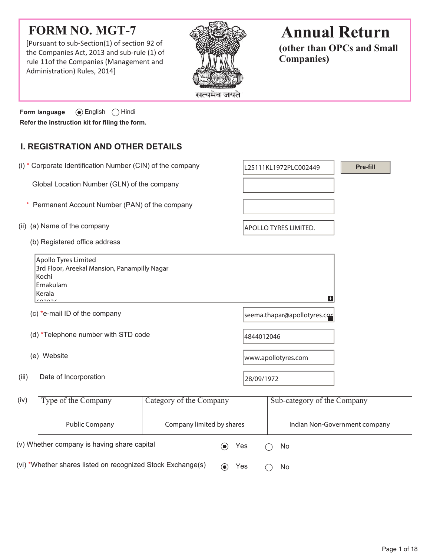# **FORM NO. MGT-7**

[Pursuant to sub-Section(1) of section 92 of the Companies Act, 2013 and sub-rule (1) of rule 11of the Companies (Management and Administration) Rules, 2014]



# **Annual Return**

**(other than OPCs and Small Companies)**

**Form language**  $\odot$  English  $\odot$  Hindi **Refer the instruction kit for filing the form.**

## **I. REGISTRATION AND OTHER DETAILS**

|       | (i) * Corporate Identification Number (CIN) of the company                                                     |                           |                              | L25111KL1972PLC002449        | Pre-fill                      |  |
|-------|----------------------------------------------------------------------------------------------------------------|---------------------------|------------------------------|------------------------------|-------------------------------|--|
|       | Global Location Number (GLN) of the company                                                                    |                           |                              |                              |                               |  |
|       | Permanent Account Number (PAN) of the company                                                                  |                           |                              |                              |                               |  |
|       | (ii) (a) Name of the company                                                                                   |                           |                              | <b>APOLLO TYRES LIMITED.</b> |                               |  |
|       | (b) Registered office address                                                                                  |                           |                              |                              |                               |  |
|       | Apollo Tyres Limited<br>3rd Floor, Areekal Mansion, Panampilly Nagar<br>Kochi<br>Ernakulam<br>Kerala<br>$\sim$ |                           |                              | $+$                          |                               |  |
|       | (c) *e-mail ID of the company                                                                                  |                           | seema.thapar@apollotyres.com |                              |                               |  |
|       | (d) *Telephone number with STD code                                                                            |                           | 4844012046                   |                              |                               |  |
|       | (e) Website                                                                                                    |                           | www.apollotyres.com          |                              |                               |  |
| (iii) | Date of Incorporation                                                                                          |                           | 28/09/1972                   |                              |                               |  |
| (iv)  | Type of the Company                                                                                            | Category of the Company   |                              | Sub-category of the Company  |                               |  |
|       | <b>Public Company</b>                                                                                          | Company limited by shares |                              |                              | Indian Non-Government company |  |
|       | (v) Whether company is having share capital                                                                    |                           | Yes                          | No                           |                               |  |

(vi) \*Whether shares listed on recognized Stock Exchange(s)  $\qquad \qquad \bullet \quad$  Yes  $\qquad \bigcirc \quad$  No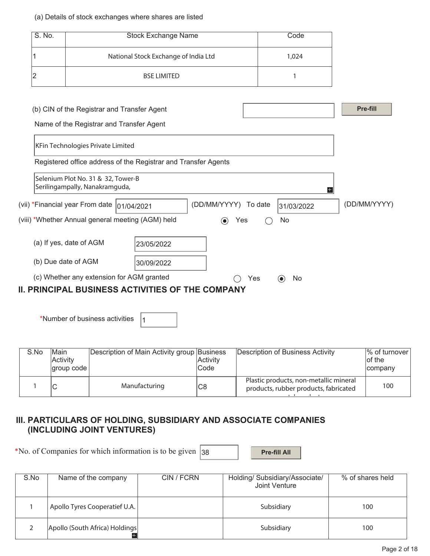#### (a) Details of stock exchanges where shares are listed

|   | S. No.<br><b>Stock Exchange Name</b> |                                                                      |                                                                                         |  |                      |     | Code              |   |              |
|---|--------------------------------------|----------------------------------------------------------------------|-----------------------------------------------------------------------------------------|--|----------------------|-----|-------------------|---|--------------|
|   |                                      |                                                                      | National Stock Exchange of India Ltd                                                    |  |                      |     | 1,024             |   |              |
| 2 |                                      |                                                                      | <b>BSE LIMITED</b>                                                                      |  |                      |     | 1                 |   |              |
|   |                                      |                                                                      | (b) CIN of the Registrar and Transfer Agent<br>Name of the Registrar and Transfer Agent |  |                      |     |                   |   | Pre-fill     |
|   |                                      | KFin Technologies Private Limited                                    | Registered office address of the Registrar and Transfer Agents                          |  |                      |     |                   |   |              |
|   |                                      | Selenium Plot No. 31 & 32, Tower-B<br>Serilingampally, Nanakramguda, |                                                                                         |  |                      |     |                   | H |              |
|   |                                      | (vii) *Financial year From date  01/04/2021                          |                                                                                         |  | (DD/MM/YYYY) To date |     | 31/03/2022        |   | (DD/MM/YYYY) |
|   |                                      |                                                                      | (viii) *Whether Annual general meeting (AGM) held                                       |  | $(\bullet)$<br>Yes   |     | No                |   |              |
|   |                                      | (a) If yes, date of AGM                                              | 23/05/2022                                                                              |  |                      |     |                   |   |              |
|   | (b) Due date of AGM                  |                                                                      | 30/09/2022                                                                              |  |                      |     |                   |   |              |
|   |                                      |                                                                      | (c) Whether any extension for AGM granted                                               |  |                      | Yes | No<br>$(\bullet)$ |   |              |
|   |                                      |                                                                      | <b>PRINCIPAL BUSINESS ACTIVITIES OF THE COMPANY</b>                                     |  |                      |     |                   |   |              |

\*Number of business activities  $\vert_1$ 

| S.No | Main<br>Activity<br>$ $ group code $ $ | Description of Main Activity group Business | Activity<br> Code | Description of Business Activity                                                | $\%$ of turnover<br>of the<br>company |
|------|----------------------------------------|---------------------------------------------|-------------------|---------------------------------------------------------------------------------|---------------------------------------|
|      |                                        | Manufacturing                               | C8                | Plastic products, non-metallic mineral<br>products, rubber products, fabricated | 100                                   |

## **III. PARTICULARS OF HOLDING, SUBSIDIARY AND ASSOCIATE COMPANIES (INCLUDING JOINT VENTURES)**

\*No. of Companies for which information is to be given  $|38|$  **Pre-fill All** 

| S.No | Name of the company            | CIN / FCRN | Holding/ Subsidiary/Associate/<br>Joint Venture | % of shares held |
|------|--------------------------------|------------|-------------------------------------------------|------------------|
|      | Apollo Tyres Cooperatief U.A.  |            | Subsidiary                                      | 100              |
|      | Apollo (South Africa) Holdings |            | Subsidiary                                      | 100              |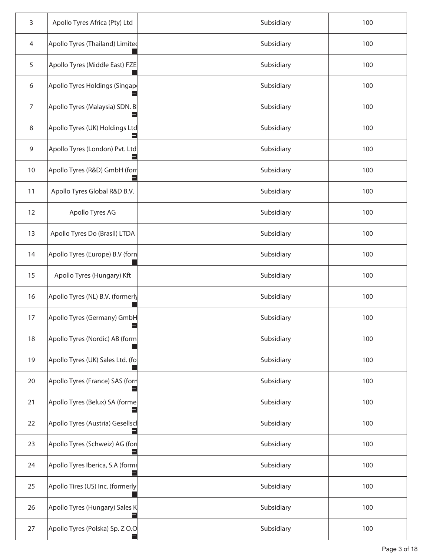| 3              | Apollo Tyres Africa (Pty) Ltd                        | Subsidiary | 100 |
|----------------|------------------------------------------------------|------------|-----|
| 4              | Apollo Tyres (Thailand) Limited                      | Subsidiary | 100 |
| 5              | Apollo Tyres (Middle East) FZE<br>$\left  + \right $ | Subsidiary | 100 |
| 6              | Apollo Tyres Holdings (Singap                        | Subsidiary | 100 |
| $\overline{7}$ | Apollo Tyres (Malaysia) SDN. B<br>$\pm$              | Subsidiary | 100 |
| 8              | Apollo Tyres (UK) Holdings Ltd                       | Subsidiary | 100 |
| 9              | Apollo Tyres (London) Pvt. Ltd<br>$\pm$              | Subsidiary | 100 |
| $10$           | Apollo Tyres (R&D) GmbH (forr                        | Subsidiary | 100 |
| 11             | Apollo Tyres Global R&D B.V.                         | Subsidiary | 100 |
| 12             | Apollo Tyres AG                                      | Subsidiary | 100 |
| 13             | Apollo Tyres Do (Brasil) LTDA                        | Subsidiary | 100 |
| 14             | Apollo Tyres (Europe) B.V (forn                      | Subsidiary | 100 |
| 15             | Apollo Tyres (Hungary) Kft                           | Subsidiary | 100 |
| 16             | Apollo Tyres (NL) B.V. (formerly                     | Subsidiary | 100 |
| 17             | Apollo Tyres (Germany) GmbH<br>Ŧ                     | Subsidiary | 100 |
| 18             | Apollo Tyres (Nordic) AB (form                       | Subsidiary | 100 |
| 19             | Apollo Tyres (UK) Sales Ltd. (fo                     | Subsidiary | 100 |
| 20             | Apollo Tyres (France) SAS (forn                      | Subsidiary | 100 |
| 21             | Apollo Tyres (Belux) SA (forme                       | Subsidiary | 100 |
| 22             | Apollo Tyres (Austria) Gesellscl                     | Subsidiary | 100 |
| 23             | Apollo Tyres (Schweiz) AG (for                       | Subsidiary | 100 |
| 24             | Apollo Tyres Iberica, S.A (forme                     | Subsidiary | 100 |
| 25             | Apollo Tires (US) Inc. (formerly                     | Subsidiary | 100 |
| 26             | Apollo Tyres (Hungary) Sales K<br>$+$                | Subsidiary | 100 |
| 27             | Apollo Tyres (Polska) Sp. Z O.O                      | Subsidiary | 100 |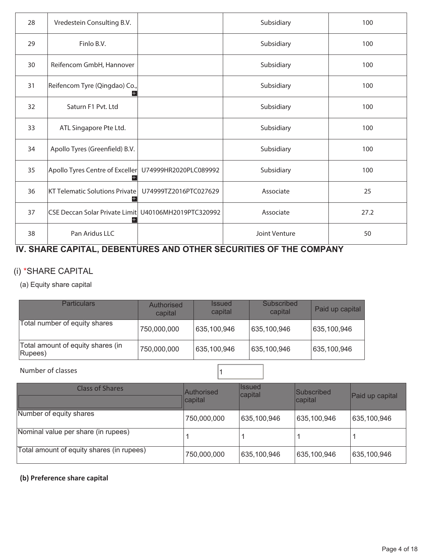| 28 | Vredestein Consulting B.V.                                     |                       | Subsidiary    | 100  |
|----|----------------------------------------------------------------|-----------------------|---------------|------|
| 29 | Finlo B.V.                                                     |                       | Subsidiary    | 100  |
| 30 | Reifencom GmbH, Hannover                                       |                       | Subsidiary    | 100  |
| 31 | Reifencom Tyre (Qingdao) Co.,                                  |                       | Subsidiary    | 100  |
| 32 | Saturn F1 Pvt. Ltd                                             |                       | Subsidiary    | 100  |
| 33 | ATL Singapore Pte Ltd.                                         |                       | Subsidiary    | 100  |
| 34 | Apollo Tyres (Greenfield) B.V.                                 |                       | Subsidiary    | 100  |
| 35 | Apollo Tyres Centre of Exceller U74999HR2020PLC089992<br>$\pm$ |                       | Subsidiary    | 100  |
| 36 | <b>KT Telematic Solutions Private</b>                          | U74999TZ2016PTC027629 | Associate     | 25   |
| 37 | CSE Deccan Solar Private Limit   U40106MH2019PTC320992         |                       | Associate     | 27.2 |
| 38 | Pan Aridus LLC                                                 |                       | Joint Venture | 50   |

## **IV. SHARE CAPITAL, DEBENTURES AND OTHER SECURITIES OF THE COMPANY**

## (i) \*SHARE CAPITAL

(a) Equity share capital

| <b>Particulars</b>                           | Authorised<br>capital | <b>Issued</b><br>capital | Subscribed<br>capital | Paid up capital |
|----------------------------------------------|-----------------------|--------------------------|-----------------------|-----------------|
| Total number of equity shares                | 750,000,000           | 635,100,946              | 635,100,946           | 635,100,946     |
| Total amount of equity shares (in<br>Rupees) | 750,000,000           | 635,100,946              | 635,100,946           | 635,100,946     |

Number of classes and the set of  $\vert$  1

| <b>Class of Shares</b>                    | Authorised<br>capital | <b>I</b> ssued<br>capital | Subscribed<br>capital | Paid up capital |
|-------------------------------------------|-----------------------|---------------------------|-----------------------|-----------------|
| Number of equity shares                   | 750,000,000           | 635,100,946               | 635,100,946           | 635,100,946     |
| Nominal value per share (in rupees)       |                       |                           |                       |                 |
| Total amount of equity shares (in rupees) | 750,000,000           | 635,100,946               | 635,100,946           | 635,100,946     |

### **(b) Preference share capital**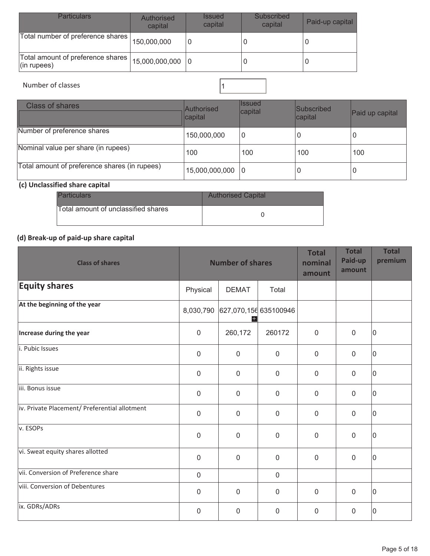| <b>Particulars</b>                                     | <b>Authorised</b><br>capital | <b>Issued</b><br>capital | Subscribed<br>capital | Paid-up capital |
|--------------------------------------------------------|------------------------------|--------------------------|-----------------------|-----------------|
| Total number of preference shares                      | 150,000,000                  |                          |                       |                 |
| Total amount of preference shares  <br>$ $ (in rupees) | $15,000,000,000$ 0           |                          |                       |                 |

## Number of classes 2008 and 2008 and 2008 and 2008 and 2008 and 2008 and 2008 and 2008 and 2008 and 2008 and 20

## Class of shares **Authorised** Authorised capital Issued Subscribed<br>capital  $P$ aid up capital Number of preference shares  $\begin{array}{|c|c|c|c|c|c|}\n\hline\n150,000,000 & 0 & 0 & 0\n\end{array}$ Nominal value per share (in rupees) <sup>100</sup> <sup>100</sup> <sup>100</sup> <sup>100</sup> Total amount of preference shares (in rupees)  $\begin{array}{|c|c|c|c|c|}\n\hline\n15,000,000,000 & 0 & 0\n\end{array}$

#### **(c) Unclassified share capital**

| <b>Particulars</b>                  | <b>Authorised Capital</b> |
|-------------------------------------|---------------------------|
| Total amount of unclassified shares |                           |

## **(d) Break-up of paid-up share capital**

| <b>Class of shares</b>                        |             | <b>Number of shares</b>       |             | <b>Total</b><br>nominal<br>amount | <b>Total</b><br>Paid-up<br>amount | <b>Total</b><br>premium |
|-----------------------------------------------|-------------|-------------------------------|-------------|-----------------------------------|-----------------------------------|-------------------------|
| <b>Equity shares</b>                          | Physical    | <b>DEMAT</b>                  | Total       |                                   |                                   |                         |
| At the beginning of the year                  | 8,030,790   | 627,070,156 635100946<br>$^+$ |             |                                   |                                   |                         |
| Increase during the year                      | $\mathbf 0$ | 260,172                       | 260172      | $\mathbf 0$                       | 0                                 | 10                      |
| i. Pubic Issues                               | $\mathbf 0$ | $\mathbf{0}$                  | $\mathbf 0$ | $\mathbf 0$                       | 0                                 | 0                       |
| ii. Rights issue                              | $\mathbf 0$ | $\mathbf 0$                   | $\mathbf 0$ | $\mathbf 0$                       | 0                                 | 0                       |
| iii. Bonus issue                              | $\mathbf 0$ | $\mathbf 0$                   | $\mathbf 0$ | $\mathbf 0$                       | 0                                 | 10                      |
| iv. Private Placement/ Preferential allotment | $\mathbf 0$ | $\mathbf 0$                   | $\mathbf 0$ | $\mathbf 0$                       | 0                                 | 10                      |
| v. ESOPs                                      | $\mathbf 0$ | $\Omega$                      | $\mathbf 0$ | $\mathbf 0$                       | 0                                 | 10                      |
| vi. Sweat equity shares allotted              | $\mathbf 0$ | $\mathbf 0$                   | $\mathbf 0$ | $\mathbf 0$                       | 0                                 | 10                      |
| vii. Conversion of Preference share           | $\mathbf 0$ |                               | $\mathbf 0$ |                                   |                                   |                         |
| viii. Conversion of Debentures                | $\mathbf 0$ | $\mathbf 0$                   | $\mathbf 0$ | $\mathbf 0$                       | 0                                 | 10                      |
| ix. GDRs/ADRs                                 | $\mathbf 0$ | $\mathbf 0$                   | $\mathbf 0$ | 0                                 | 0                                 | 10                      |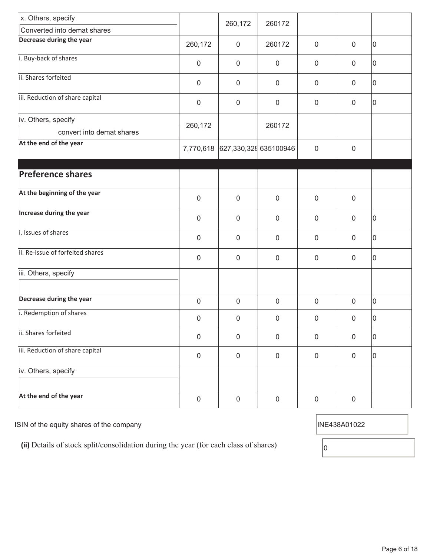| x. Others, specify               |             | 260,172                         | 260172           |                     |             |    |
|----------------------------------|-------------|---------------------------------|------------------|---------------------|-------------|----|
| Converted into demat shares      |             |                                 |                  |                     |             |    |
| Decrease during the year         | 260,172     | $\mathbf 0$                     | 260172           | $\mathbf 0$         | $\mathbf 0$ | 0  |
| i. Buy-back of shares            | 0           | $\mathbf 0$                     | $\boldsymbol{0}$ | $\mathbf 0$         | $\mathbf 0$ | 10 |
| ii. Shares forfeited             | 0           | $\mathbf 0$                     | $\boldsymbol{0}$ | $\mathbf 0$         | $\mathbf 0$ | 10 |
| iii. Reduction of share capital  | $\mathbf 0$ | $\mathbf 0$                     | $\mathbf 0$      | $\mathbf 0$         | $\mathbf 0$ | 0  |
| iv. Others, specify              | 260,172     |                                 | 260172           |                     |             |    |
| convert into demat shares        |             |                                 |                  |                     |             |    |
| At the end of the year           |             | 7,770,618 627,330,328 635100946 |                  | $\mathbf 0$         | $\mathbf 0$ |    |
|                                  |             |                                 |                  |                     |             |    |
| <b>Preference shares</b>         |             |                                 |                  |                     |             |    |
| At the beginning of the year     | $\mathbf 0$ | $\mathbf 0$                     | $\mathbf 0$      | $\mathbf 0$         | $\mathbf 0$ |    |
| Increase during the year         | 0           | $\mathbf 0$                     | $\mathbf 0$      | $\mathbf 0$         | $\mathbf 0$ | 10 |
| i. Issues of shares              | 0           | $\mathbf 0$                     | $\mathbf 0$      | $\mathbf 0$         | $\mathbf 0$ | 0  |
| ii. Re-issue of forfeited shares | 0           | $\mathbf 0$                     | 0                | $\mathbf 0$         | $\mathbf 0$ | 10 |
| iii. Others, specify             |             |                                 |                  |                     |             |    |
| Decrease during the year         | 0           | $\mathbf 0$                     | $\mathbf 0$      | $\mathbf 0$         | $\mathbf 0$ | 10 |
| i. Redemption of shares          | 0           | 0                               | 0                | 0                   | $\mathbf 0$ | 0  |
| ii. Shares forfeited             | 0           | $\mathbf 0$                     | $\boldsymbol{0}$ | $\mathbf 0$         | $\mathbf 0$ | lo |
| iii. Reduction of share capital  | $\mathbf 0$ | $\boldsymbol{0}$                | $\mathbf 0$      | $\mathsf{O}\xspace$ | $\mathbf 0$ | 0  |
| iv. Others, specify              |             |                                 |                  |                     |             |    |
| At the end of the year           | $\mathbf 0$ | $\boldsymbol{0}$                | $\mathbf 0$      | $\mathsf{O}\xspace$ | $\mathbf 0$ |    |

ISIN of the equity shares of the company ISIN of the equity shares of the company

(ii) Details of stock split/consolidation during the year (for each class of shares)  $\boxed{0}$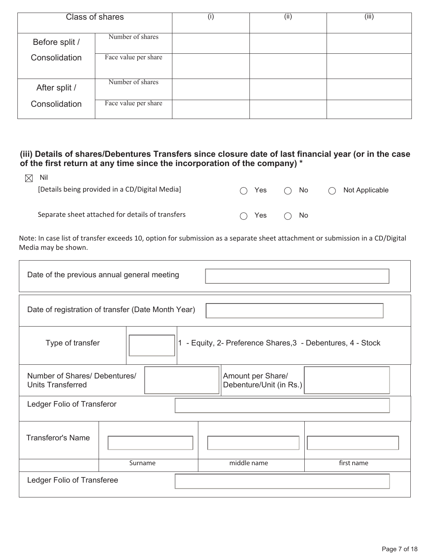| <b>Class of shares</b> |                      | $\left( 1\right)$ | (ii) | (iii) |
|------------------------|----------------------|-------------------|------|-------|
|                        |                      |                   |      |       |
| Before split /         | Number of shares     |                   |      |       |
| Consolidation          | Face value per share |                   |      |       |
| After split /          | Number of shares     |                   |      |       |
| Consolidation          | Face value per share |                   |      |       |

#### **(iii) Details of shares/Debentures Transfers since closure date of last financial year (or in the case of the first return at any time since the incorporation of the company) \***

| $\boxtimes$ Nil                                  |       |     |              |     |                |
|--------------------------------------------------|-------|-----|--------------|-----|----------------|
| [Details being provided in a CD/Digital Media]   | ◯ Yes |     | $\bigcap$ No | ( ) | Not Applicable |
|                                                  |       |     |              |     |                |
| Separate sheet attached for details of transfers | (     | Yes | $\bigcap$ No |     |                |

Note: In case list of transfer exceeds 10, option for submission as a separate sheet attachment or submission in a CD/Digital Media may be shown.

| Date of the previous annual general meeting                                                               |                            |             |            |  |  |  |
|-----------------------------------------------------------------------------------------------------------|----------------------------|-------------|------------|--|--|--|
| Date of registration of transfer (Date Month Year)                                                        |                            |             |            |  |  |  |
| 1 - Equity, 2- Preference Shares, 3 - Debentures, 4 - Stock<br>Type of transfer                           |                            |             |            |  |  |  |
| Number of Shares/ Debentures/<br>Amount per Share/<br>Debenture/Unit (in Rs.)<br><b>Units Transferred</b> |                            |             |            |  |  |  |
|                                                                                                           | Ledger Folio of Transferor |             |            |  |  |  |
| <b>Transferor's Name</b>                                                                                  |                            |             |            |  |  |  |
|                                                                                                           | Surname                    | middle name | first name |  |  |  |
| Ledger Folio of Transferee                                                                                |                            |             |            |  |  |  |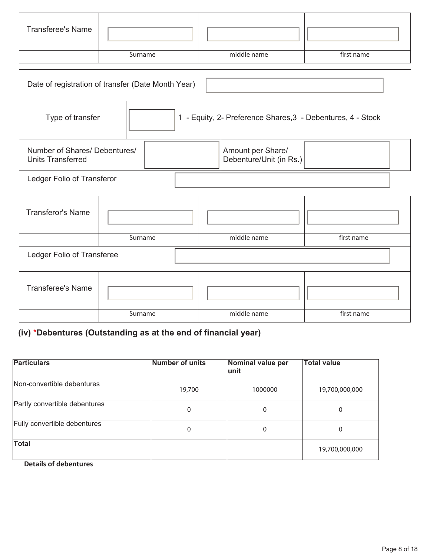| <b>Transferee's Name</b> |         |             |            |
|--------------------------|---------|-------------|------------|
|                          | Surname | middle name | first name |

| Date of registration of transfer (Date Month Year)        |                                              |         |  |                                                           |            |  |  |
|-----------------------------------------------------------|----------------------------------------------|---------|--|-----------------------------------------------------------|------------|--|--|
| Type of transfer                                          | $\mathbf{11}$                                |         |  | - Equity, 2- Preference Shares, 3 - Debentures, 4 - Stock |            |  |  |
| Number of Shares/ Debentures/<br><b>Units Transferred</b> | Amount per Share/<br>Debenture/Unit (in Rs.) |         |  |                                                           |            |  |  |
| Ledger Folio of Transferor                                |                                              |         |  |                                                           |            |  |  |
| <b>Transferor's Name</b>                                  |                                              |         |  |                                                           |            |  |  |
|                                                           |                                              | Surname |  | middle name                                               | first name |  |  |
| Ledger Folio of Transferee                                |                                              |         |  |                                                           |            |  |  |
| <b>Transferee's Name</b>                                  |                                              |         |  |                                                           |            |  |  |
|                                                           |                                              | Surname |  | middle name                                               | first name |  |  |

# **(iv)** \***Debentures (Outstanding as at the end of financial year)**

| <b>Particulars</b>            | <b>Number of units</b> | Nominal value per<br>lunit | <b>Total value</b> |
|-------------------------------|------------------------|----------------------------|--------------------|
| Non-convertible debentures    | 19,700                 | 1000000                    | 19,700,000,000     |
| Partly convertible debentures | 0                      | $\mathbf{0}$               | 0                  |
| Fully convertible debentures  | 0                      | $\mathbf{0}$               | 0                  |
| <b>Total</b>                  |                        |                            | 19,700,000,000     |

 **Details of debentures**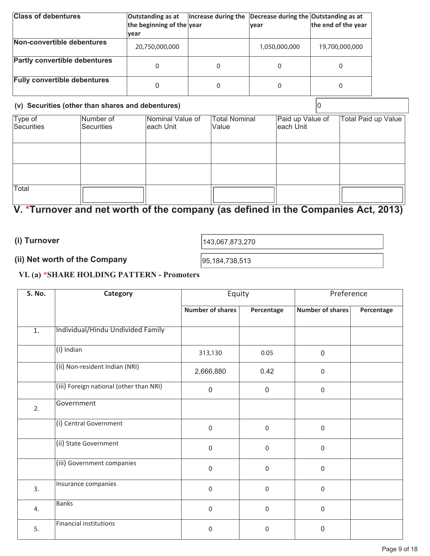| <b>Class of debentures</b>           | Outstanding as at         | Increase during the Decrease during the Outstanding as at |                     |
|--------------------------------------|---------------------------|-----------------------------------------------------------|---------------------|
|                                      | the beginning of the year | <b>vear</b>                                               | the end of the year |
|                                      | lvear                     |                                                           |                     |
| Non-convertible debentures           | 20,750,000,000            | 1,050,000,000                                             | 19,700,000,000      |
| <b>Partly convertible debentures</b> |                           |                                                           |                     |
| <b>Fully convertible debentures</b>  |                           |                                                           | 0                   |

| (v) Securities (other than shares and debentures) |                         |                               |                               |                                |                     |
|---------------------------------------------------|-------------------------|-------------------------------|-------------------------------|--------------------------------|---------------------|
| Type of<br>Securities                             | Number of<br>Securities | Nominal Value of<br>each Unit | <b>Total Nominal</b><br>Value | Paid up Value of<br>leach Unit | Total Paid up Value |
|                                                   |                         |                               |                               |                                |                     |
|                                                   |                         |                               |                               |                                |                     |
| Total                                             |                         |                               |                               |                                |                     |

# **V. \*Turnover and net worth of the company (as defined in the Companies Act, 2013)**

**(i) Turnover** 

(1) I urnover  $143,067,873,270$ 

# **(ii) Net worth of the Company**  95,184,738,513

## **VI. (a) \*SHARE HOLDING PATTERN - Promoters**

| <b>S. No.</b>    | <b>Category</b>                         | Equity                  |                  | Preference              |            |
|------------------|-----------------------------------------|-------------------------|------------------|-------------------------|------------|
|                  |                                         | <b>Number of shares</b> | Percentage       | <b>Number of shares</b> | Percentage |
| $\overline{1}$ . | Individual/Hindu Undivided Family       |                         |                  |                         |            |
|                  | (i) Indian                              | 313,130                 | 0.05             | $\mathbf 0$             |            |
|                  | (ii) Non-resident Indian (NRI)          | 2,666,880               | 0.42             | 0                       |            |
|                  | (iii) Foreign national (other than NRI) | $\mathbf 0$             | $\mathbf 0$      | $\boldsymbol{0}$        |            |
| 2.               | Government                              |                         |                  |                         |            |
|                  | (i) Central Government                  | $\mathbf 0$             | $\pmb{0}$        | $\mathbf 0$             |            |
|                  | (ii) State Government                   | 0                       | $\boldsymbol{0}$ | 0                       |            |
|                  | (iii) Government companies              | 0                       | $\boldsymbol{0}$ | $\boldsymbol{0}$        |            |
| 3.               | Insurance companies                     | $\boldsymbol{0}$        | $\pmb{0}$        | $\boldsymbol{0}$        |            |
| 4.               | <b>Banks</b>                            | $\boldsymbol{0}$        | $\pmb{0}$        | $\boldsymbol{0}$        |            |
| 5.               | <b>Financial institutions</b>           | 0                       | 0                | 0                       |            |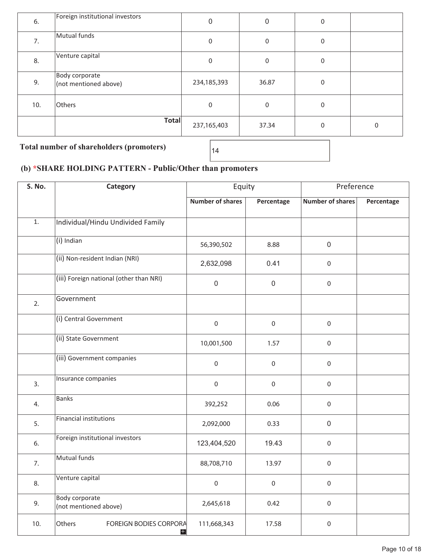| 6.  | Foreign institutional investors         | 0           | 0     | 0            |   |
|-----|-----------------------------------------|-------------|-------|--------------|---|
| 7.  | Mutual funds                            | 0           | 0     | 0            |   |
| 8.  | Venture capital                         | 0           | 0     | 0            |   |
| 9.  | Body corporate<br>(not mentioned above) | 234,185,393 | 36.87 | $\mathbf{0}$ |   |
| 10. | Others                                  | 0           | 0     | 0            |   |
|     | Total                                   | 237,165,403 | 37.34 | 0            | 0 |

Total number of shareholders (promoters)  $\Big|_{14}$ 

# **(b) \*SHARE HOLDING PATTERN - Public/Other than promoters**

| S. No.           | Category                                       | Equity                  |                  | Preference              |            |
|------------------|------------------------------------------------|-------------------------|------------------|-------------------------|------------|
|                  |                                                | <b>Number of shares</b> | Percentage       | <b>Number of shares</b> | Percentage |
| $\overline{1}$ . | Individual/Hindu Undivided Family              |                         |                  |                         |            |
|                  | (i) Indian                                     | 56,390,502              | 8.88             | $\mathsf{O}\xspace$     |            |
|                  | (ii) Non-resident Indian (NRI)                 | 2,632,098               | 0.41             | $\mathsf{O}\xspace$     |            |
|                  | (iii) Foreign national (other than NRI)        | $\mathbf 0$             | $\mathbf 0$      | $\mathbf 0$             |            |
| 2.               | Government                                     |                         |                  |                         |            |
|                  | (i) Central Government                         | $\mathbf 0$             | $\boldsymbol{0}$ | $\mathbf 0$             |            |
|                  | (ii) State Government                          | 10,001,500              | 1.57             | $\mathbf 0$             |            |
|                  | (iii) Government companies                     | $\mathbf 0$             | $\mathbf 0$      | $\mathbf 0$             |            |
| 3.               | Insurance companies                            | $\mathbf 0$             | $\boldsymbol{0}$ | $\mathbf 0$             |            |
| 4.               | <b>Banks</b>                                   | 392,252                 | 0.06             | $\mathsf{O}\xspace$     |            |
| 5.               | <b>Financial institutions</b>                  | 2,092,000               | 0.33             | $\mathsf{O}\xspace$     |            |
| 6.               | Foreign institutional investors                | 123,404,520             | 19.43            | $\mathsf{O}\xspace$     |            |
| 7.               | Mutual funds                                   | 88,708,710              | 13.97            | $\mathbf 0$             |            |
| 8.               | Venture capital                                | $\mathbf 0$             | $\mathbf 0$      | $\mathbf 0$             |            |
| 9.               | <b>Body corporate</b><br>(not mentioned above) | 2,645,618               | 0.42             | $\mathbf 0$             |            |
| 10.              | Others<br>FOREIGN BODIES CORPORA<br>$+$        | 111,668,343             | 17.58            | $\mathbf 0$             |            |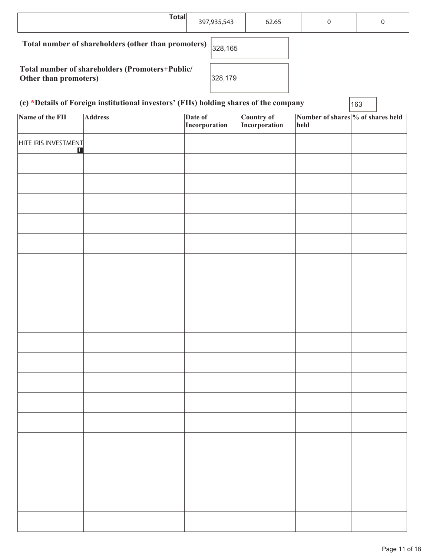| <b>Total</b>                                                             | 397,935,543 | 62.65 | 0 | 0 |
|--------------------------------------------------------------------------|-------------|-------|---|---|
| Total number of shareholders (other than promoters)                      | 328,165     |       |   |   |
| Total number of shareholders (Promoters+Public/<br>Other than promoters) | 328,179     |       |   |   |

| (c) *Details of Foreign institutional investors' (FIIs) holding shares of the company | 163 |
|---------------------------------------------------------------------------------------|-----|
|---------------------------------------------------------------------------------------|-----|

**Name of the FII Address** Date of **Incorporation Country of Incorporation Number of shares % of shares held held**  HITE IRIS INVESTMENT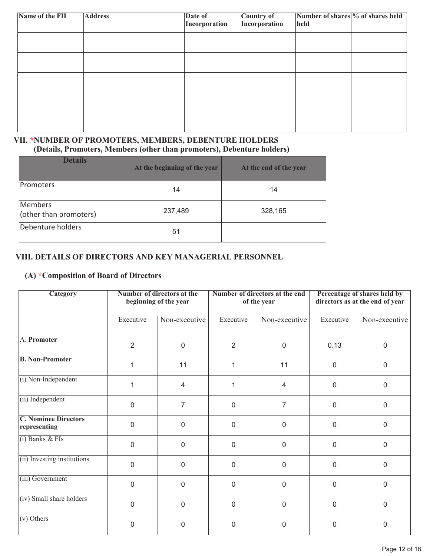| Name of the FII | <b>Address</b> | Date of<br>Incorporation | Country of<br>Incorporation | Number of shares % of shares held<br>held |  |
|-----------------|----------------|--------------------------|-----------------------------|-------------------------------------------|--|
|                 |                |                          |                             |                                           |  |
|                 |                |                          |                             |                                           |  |
|                 |                |                          |                             |                                           |  |
|                 |                |                          |                             |                                           |  |
|                 |                |                          |                             |                                           |  |

#### **VII. \*NUMBER OF PROMOTERS, MEMBERS, DEBENTURE HOLDERS (Details, Promoters, Members (other than promoters), Debenture holders)**

| <b>Details</b>                    | At the beginning of the year | At the end of the year |
|-----------------------------------|------------------------------|------------------------|
| <b>Promoters</b>                  | 14                           | 14                     |
| Members<br>(other than promoters) | 237,489                      | 328,165                |
| Debenture holders                 | 51                           |                        |

#### **VIII. DETAILS OF DIRECTORS AND KEY MANAGERIAL PERSONNEL**

## **(A) \*Composition of Board of Directors**

| Category                                    | Number of directors at the<br>beginning of the year |                | Number of directors at the end<br>of the year |                | Percentage of shares held by<br>directors as at the end of year |               |
|---------------------------------------------|-----------------------------------------------------|----------------|-----------------------------------------------|----------------|-----------------------------------------------------------------|---------------|
|                                             | Executive                                           | Non-executive  | Executive                                     | Non-executive  | Executive                                                       | Non-executive |
| A. Promoter                                 | $\overline{2}$                                      | $\overline{0}$ | $\overline{2}$                                | $\overline{0}$ | 0.13                                                            | $\Omega$      |
| <b>B. Non-Promoter</b>                      | 1                                                   | 11             | 1                                             | 11             | $\mathbf 0$                                                     | $\Omega$      |
| (i) Non-Independent                         | 1                                                   | $\overline{4}$ | 1                                             | 4              | 0                                                               | $\mathbf 0$   |
| (ii) Independent                            | $\overline{0}$                                      | $\overline{7}$ | 0                                             | $\overline{7}$ | $\mathbf 0$                                                     | $\mathbf 0$   |
| <b>C. Nominee Directors</b><br>representing | $\Omega$                                            | $\overline{0}$ | $\overline{0}$                                | $\mathbf 0$    | 0                                                               | $\Omega$      |
| $(i)$ Banks & FIs                           | $\overline{0}$                                      | $\mathbf 0$    | $\overline{0}$                                | $\mathbf 0$    | $\mathbf 0$                                                     | $\mathbf 0$   |
| (ii) Investing institutions                 | $\Omega$                                            | $\mathbf 0$    | $\overline{0}$                                | $\mathbf 0$    | 0                                                               | $\mathbf{0}$  |
| (iii) Government                            | $\overline{0}$                                      | $\mathbf 0$    | 0                                             | $\mathbf 0$    | $\mathbf 0$                                                     | $\mathbf 0$   |
| (iv) Small share holders                    | $\overline{0}$                                      | $\mathbf 0$    | 0                                             | $\mathbf 0$    | 0                                                               | $\mathbf 0$   |
| $(v)$ Others                                | 0                                                   | 0              | 0                                             | 0              | 0                                                               | $\mathbf 0$   |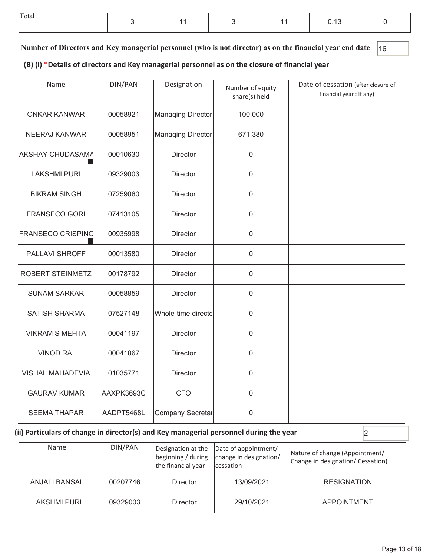| Total |  |  | <b>U.IU</b> |  |
|-------|--|--|-------------|--|
|       |  |  |             |  |

**Number of Directors and Key managerial personnel (who is not director) as on the financial year end date** 16

**(B) (i) \*Details of directors and Key managerial personnel as on the closure of financial year**

| Name                                                  | <b>DIN/PAN</b>           | Designation              | Number of equity<br>share(s) held | Date of cessation (after closure of<br>financial year : If any) |
|-------------------------------------------------------|--------------------------|--------------------------|-----------------------------------|-----------------------------------------------------------------|
| <b>ONKAR KANWAR</b>                                   | 00058921                 | <b>Managing Director</b> | 100,000                           |                                                                 |
| <b>NEERAJ KANWAR</b>                                  | 00058951                 | <b>Managing Director</b> | 671,380                           |                                                                 |
| <b>AKSHAY CHUDASAMA</b><br>н                          | 00010630                 | <b>Director</b>          | $\mathbf 0$                       |                                                                 |
| <b>LAKSHMI PURI</b>                                   | 09329003                 | <b>Director</b>          | $\mathbf 0$                       |                                                                 |
| <b>BIKRAM SINGH</b>                                   | 07259060                 | <b>Director</b>          | $\overline{0}$                    |                                                                 |
| <b>FRANSECO GORI</b>                                  | 07413105                 | <b>Director</b>          | $\mathbf 0$                       |                                                                 |
| <b>FRANSECO CRISPINO</b><br>$\pm$                     | 00935998                 | <b>Director</b>          | $\mathbf 0$                       |                                                                 |
| PALLAVI SHROFF                                        | 00013580                 | Director                 | $\boldsymbol{0}$                  |                                                                 |
| <b>ROBERT STEINMETZ</b>                               | 00178792                 | <b>Director</b>          | $\mathbf 0$                       |                                                                 |
| <b>SUNAM SARKAR</b>                                   | 00058859                 | Director                 | $\boldsymbol{0}$                  |                                                                 |
| <b>SATISH SHARMA</b>                                  | 07527148                 | Whole-time directo       | $\mathbf 0$                       |                                                                 |
| <b>VIKRAM S MEHTA</b>                                 | 00041197                 | <b>Director</b>          | $\mathbf 0$                       |                                                                 |
| <b>VINOD RAI</b>                                      | 00041867                 | Director                 | $\mathbf 0$                       |                                                                 |
| <b>VISHAL MAHADEVIA</b>                               | 01035771                 | Director                 | $\boldsymbol{0}$                  |                                                                 |
| <b>GAURAV KUMAR</b>                                   | AAXPK3693C<br><b>CFO</b> |                          | $\mathbf 0$                       |                                                                 |
| <b>SEEMA THAPAR</b><br>AADPT5468L<br>Company Secretar |                          | $\mathbf 0$              |                                   |                                                                 |

# **(ii) Particulars of change in director(s) and Key managerial personnel during the year**  $\vert$ 2

| Name                     | DIN/PAN  | Designation at the<br>the financial year | Date of appointment/<br>beginning / during   change in designation/<br><i>cessation</i> | Nature of change (Appointment/<br>Change in designation/ Cessation) |  |
|--------------------------|----------|------------------------------------------|-----------------------------------------------------------------------------------------|---------------------------------------------------------------------|--|
| ANJALI BANSAL            | 00207746 |                                          | 13/09/2021                                                                              | <b>RESIGNATION</b>                                                  |  |
| LAKSHMI PURI<br>09329003 |          | <b>Director</b>                          | 29/10/2021                                                                              | <b>APPOINTMENT</b>                                                  |  |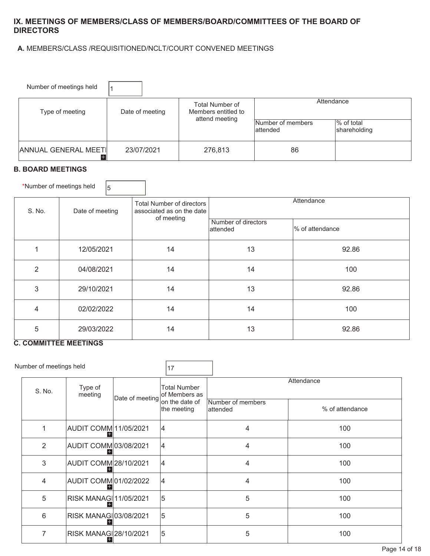#### **IX. MEETINGS OF MEMBERS/CLASS OF MEMBERS/BOARD/COMMITTEES OF THE BOARD OF DIRECTORS**

#### **A.** MEMBERS/CLASS /REQUISITIONED/NCLT/COURT CONVENED MEETINGS

| Number of meetings held            |                 |                                                                 |                                |                            |  |
|------------------------------------|-----------------|-----------------------------------------------------------------|--------------------------------|----------------------------|--|
| Type of meeting                    | Date of meeting | <b>Total Number of</b><br>Members entitled to<br>attend meeting | Attendance                     |                            |  |
|                                    |                 |                                                                 | Number of members<br>lattended | % of total<br>shareholding |  |
| <b>ANNUAL GENERAL MEETI</b><br>$+$ | 23/07/2021      | 276,813                                                         | 86                             |                            |  |

#### **B. BOARD MEETINGS**

| *Number of meetings held | 15               |                                                                      |                                  |                 |  |
|--------------------------|------------------|----------------------------------------------------------------------|----------------------------------|-----------------|--|
| S. No.                   | Date of meeting  | Total Number of directors<br>associated as on the date<br>of meeting | Attendance                       |                 |  |
|                          |                  |                                                                      | Number of directors<br>lattended | % of attendance |  |
| 1                        | 12/05/2021       | 14                                                                   | 13                               | 92.86           |  |
| $\overline{2}$           | 04/08/2021       | 14                                                                   | 14                               | 100             |  |
| 3                        | 29/10/2021       | 14                                                                   | 13                               | 92.86           |  |
| 4                        | 14<br>02/02/2022 |                                                                      | 14                               | 100             |  |
| 5                        | 29/03/2022       | 14                                                                   | 13                               | 92.86           |  |

#### **C. COMMITTEE MEETINGS**

| Number of meetings held      |                              |                 | 17                                   |                                |                 |  |
|------------------------------|------------------------------|-----------------|--------------------------------------|--------------------------------|-----------------|--|
| Type of<br>S. No.<br>meeting |                              | Date of meeting | <b>Total Number</b><br>of Members as | Attendance                     |                 |  |
|                              |                              |                 | lon the date of<br>the meeting       | Number of members<br>lattended | % of attendance |  |
|                              | <b>AUDIT COMM 11/05/2021</b> |                 | 14                                   | 4                              | 100             |  |
| 2                            | <b>AUDIT COMM 03/08/2021</b> |                 | 14                                   | 4                              | 100             |  |
| 3                            | <b>AUDIT COMM 28/10/2021</b> |                 | 14                                   | 4                              | 100             |  |
| 4                            | <b>AUDIT COMM01/02/2022</b>  |                 |                                      | 4                              | 100             |  |
| 5                            | RISK MANAG 11/05/2021        |                 | 5                                    | 5                              | 100             |  |
| 6                            | RISK MANAG 03/08/2021        |                 | 5                                    | 5                              | 100             |  |
| 7                            | RISK MANAG 28/10/2021        |                 | 5                                    | 5                              | 100             |  |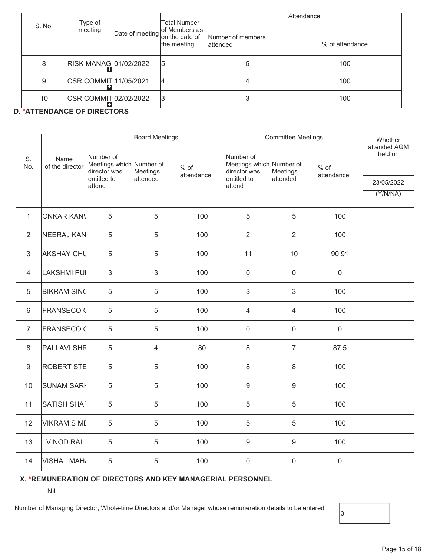| S. No. | Type of<br>meeting           |                                           | Total Number<br>of Members as | Attendance                     |                 |  |
|--------|------------------------------|-------------------------------------------|-------------------------------|--------------------------------|-----------------|--|
|        |                              | $ \text{Date of meeting} $ on the date of | the meeting                   | Number of members<br>lattended | % of attendance |  |
| 8      | RISK MANAG 01/02/2022        |                                           | 15                            | 5                              | 100             |  |
| 9      | CSR COMMIT 11/05/2021        |                                           | 14                            | 4                              | 100             |  |
| 10     | CSR COMMIT 02/02/2022<br>$+$ |                                           | 13                            | 3                              | 100             |  |

#### **D. \*ATTENDANCE OF DIRECTORS**

|                  |                         | <b>Board Meetings</b>     |                                      |            | <b>Committee Meetings</b>                             | Whether<br>attended AGM |                      |            |
|------------------|-------------------------|---------------------------|--------------------------------------|------------|-------------------------------------------------------|-------------------------|----------------------|------------|
| S.<br>No.        | Name<br>of the director | Number of<br>director was | Meetings which Number of<br>Meetings | $%$ of     | Number of<br>Meetings which Number of<br>director was | Meetings                | $%$ of<br>attendance | held on    |
|                  |                         | entitled to<br>attend     | attended                             | attendance | entitled to<br>attend                                 | attended                |                      | 23/05/2022 |
|                  |                         |                           |                                      |            |                                                       |                         |                      | (Y/N/NA)   |
| $\mathbf{1}$     | <b>ONKAR KANV</b>       | 5                         | 5                                    | 100        | 5                                                     | 5                       | 100                  |            |
| $\overline{2}$   | NEERAJ KAN              | 5                         | 5                                    | 100        | $\overline{2}$                                        | $\overline{2}$          | 100                  |            |
| 3                | <b>AKSHAY CHL</b>       | 5                         | 5                                    | 100        | 11                                                    | 10                      | 90.91                |            |
| $\overline{4}$   | LAKSHMI PUI             | $\mathfrak{S}$            | 3                                    | 100        | $\mathbf 0$                                           | $\mathsf 0$             | $\mathbf 0$          |            |
| 5                | <b>BIKRAM SING</b>      | 5                         | 5                                    | 100        | $\mathfrak{Z}$                                        | $\mathfrak{S}$          | 100                  |            |
| 6                | <b>FRANSECO C</b>       | 5                         | 5                                    | 100        | 4                                                     | $\overline{4}$          | 100                  |            |
| $\overline{7}$   | <b>FRANSECO C</b>       | 5                         | 5                                    | 100        | $\mathbf 0$                                           | $\mathbf 0$             | $\mathbf 0$          |            |
| 8                | <b>PALLAVI SHR</b>      | 5                         | 4                                    | 80         | 8                                                     | $\overline{7}$          | 87.5                 |            |
| $\boldsymbol{9}$ | ROBERT STE              | $\overline{5}$            | 5                                    | 100        | 8                                                     | $\,8\,$                 | 100                  |            |
| 10               | <b>SUNAM SARI</b>       | $\overline{5}$            | 5                                    | 100        | $\hbox{9}$                                            | $\boldsymbol{9}$        | 100                  |            |
| 11               | SATISH SHAF             | 5                         | 5                                    | 100        | 5                                                     | 5                       | 100                  |            |
| 12               | <b>VIKRAM S ME</b>      | 5                         | 5                                    | 100        | 5                                                     | 5                       | 100                  |            |
| 13               | <b>VINOD RAI</b>        | 5                         | 5                                    | 100        | $9\,$                                                 | $9\,$                   | 100                  |            |
| 14               | <b>VISHAL MAH/</b>      | 5                         | 5                                    | 100        | 0                                                     | $\mathbf 0$             | $\mathbf 0$          |            |

#### **X. \*REMUNERATION OF DIRECTORS AND KEY MANAGERIAL PERSONNEL**

 $\Box$  Nil

Number of Managing Director, Whole-time Directors and/or Manager whose remuneration details to be entered

 $|_3$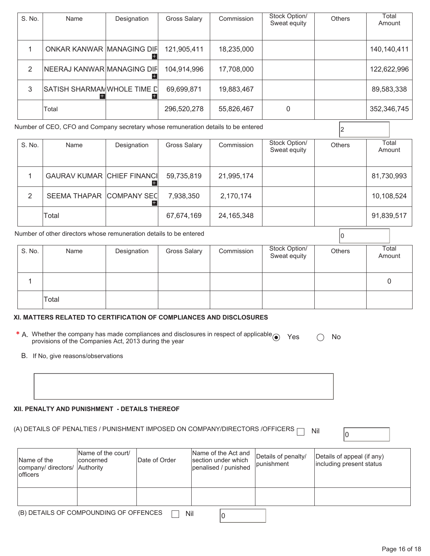| S. No.                                                                            | Name                       | Designation | Gross Salary | Commission | Stock Option/<br>Sweat equity | <b>Others</b> | Total<br>Amount |
|-----------------------------------------------------------------------------------|----------------------------|-------------|--------------|------------|-------------------------------|---------------|-----------------|
|                                                                                   | ONKAR KANWAR MANAGING DIF  |             | 121,905,411  | 18,235,000 |                               |               | 140,140,411     |
| 2                                                                                 | NEERAJ KANWAR MANAGING DIF |             | 104,914,996  | 17,708,000 |                               |               | 122,622,996     |
| 3                                                                                 | SATISH SHARMANWHOLE TIME D |             | 69,699,871   | 19,883,467 |                               |               | 89,583,338      |
|                                                                                   | Total                      |             | 296,520,278  | 55,826,467 | 0                             |               | 352,346,745     |
| Number of CEO, CFO and Company secretary whose remuneration details to be entered |                            |             |              |            |                               |               |                 |

| S. No. | Name                              | Designation | <b>Gross Salary</b> | Commission   | Stock Option/<br>Sweat equity | <b>Others</b> | Total<br>Amount |
|--------|-----------------------------------|-------------|---------------------|--------------|-------------------------------|---------------|-----------------|
|        | <b>GAURAV KUMAR CHIEF FINANCI</b> |             | 59,735,819          | 21,995,174   |                               |               | 81,730,993      |
| 2      | SEEMA THAPAR COMPANY SEC          |             | 7,938,350           | 2,170,174    |                               |               | 10,108,524      |
|        | Total                             |             | 67,674,169          | 24, 165, 348 |                               |               | 91,839,517      |

|        | Number of other directors whose remuneration details to be entered |             |                     |            |                               |               |                 |
|--------|--------------------------------------------------------------------|-------------|---------------------|------------|-------------------------------|---------------|-----------------|
| S. No. | Name                                                               | Designation | <b>Gross Salary</b> | Commission | Stock Option/<br>Sweat equity | <b>Others</b> | Total<br>Amount |
|        |                                                                    |             |                     |            |                               |               |                 |
|        | Total                                                              |             |                     |            |                               |               |                 |

#### **XI. MATTERS RELATED TO CERTIFICATION OF COMPLIANCES AND DISCLOSURES**

**\*** A. Whether the company has made compliances and disclosures in respect of applicable ● Yes ○ No<br>provisions of the Companies Act, 2013 during the year

B. If No, give reasons/observations

#### **XII. PENALTY AND PUNISHMENT - DETAILS THEREOF**

# (A) DETAILS OF PENALTIES / PUNISHMENT IMPOSED ON COMPANY/DIRECTORS /OFFICERS  $\Box$  Nil  $\Box$

| Name of the<br>company/ directors/ Authority<br><b>officers</b> | Name of the court/<br>Iconcerned | Date of Order | Name of the Act and<br>section under which<br>penalised / punished | Details of penalty/<br><i>lpunishment</i> | Details of appeal (if any)<br>including present status |  |  |  |
|-----------------------------------------------------------------|----------------------------------|---------------|--------------------------------------------------------------------|-------------------------------------------|--------------------------------------------------------|--|--|--|
|                                                                 |                                  |               |                                                                    |                                           |                                                        |  |  |  |
| (B) DETAILS OF COMPOUNDING OF OFFENCES<br>Nil                   |                                  |               |                                                                    |                                           |                                                        |  |  |  |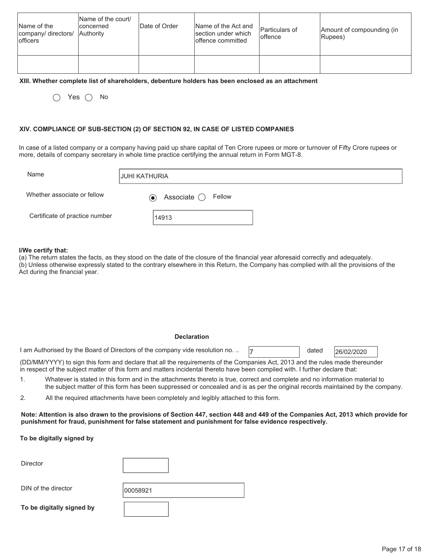| Name of the<br>company/ directors/ Authority<br><b>lofficers</b> | Name of the court/<br>concerned | Date of Order | Name of the Act and<br>section under which<br>offence committed | Particulars of<br>loffence | Amount of compounding (in<br>Rupees) |
|------------------------------------------------------------------|---------------------------------|---------------|-----------------------------------------------------------------|----------------------------|--------------------------------------|
|                                                                  |                                 |               |                                                                 |                            |                                      |

#### **XIII. Whether complete list of shareholders, debenture holders has been enclosed as an attachment**

 $\bigcap$  Yes  $\bigcap$  No

#### **XIV. COMPLIANCE OF SUB-SECTION (2) OF SECTION 92, IN CASE OF LISTED COMPANIES**

In case of a listed company or a company having paid up share capital of Ten Crore rupees or more or turnover of Fifty Crore rupees or more, details of company secretary in whole time practice certifying the annual return in Form MGT-8.

| Name                           | <b>JUHI KATHURIA</b>                   |
|--------------------------------|----------------------------------------|
| Whether associate or fellow    | Associate $\bigcirc$ Fellow<br>$\odot$ |
| Certificate of practice number | 14913                                  |

#### **I/We certify that:**

(a) The return states the facts, as they stood on the date of the closure of the financial year aforesaid correctly and adequately. (b) Unless otherwise expressly stated to the contrary elsewhere in this Return, the Company has complied with all the provisions of the Act during the financial year.

#### **Declaration**

1 am Authorised by the Board of Directors of the company vide resolution no. ..  $\boxed{7}$  dated 26/02/2020

dated

(DD/MM/YYYY) to sign this form and declare that all the requirements of the Companies Act, 2013 and the rules made thereunder in respect of the subject matter of this form and matters incidental thereto have been compiled with. I further declare that:

1. Whatever is stated in this form and in the attachments thereto is true, correct and complete and no information material to the subject matter of this form has been suppressed or concealed and is as per the original records maintained by the company.

2. All the required attachments have been completely and legibly attached to this form.

**Note: Attention is also drawn to the provisions of Section 447, section 448 and 449 of the Companies Act, 2013 which provide for punishment for fraud, punishment for false statement and punishment for false evidence respectively.** 

#### **To be digitally signed by**

| 00058921 |
|----------|
|          |
|          |